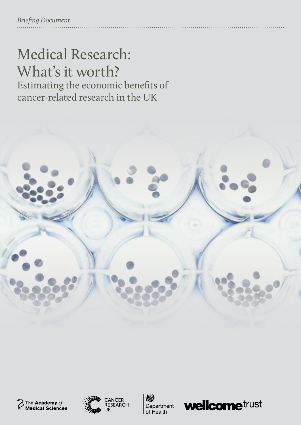# Medical Research: What's it worth? Estimating the economic benefits of

cancer-related research in the UK









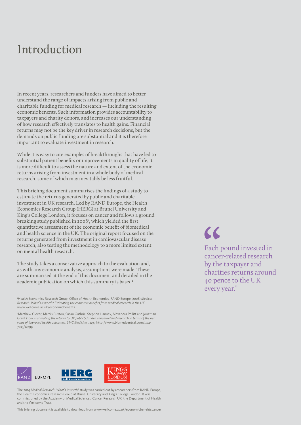### Introduction

In recent years, researchers and funders have aimed to better understand the range of impacts arising from public and charitable funding for medical research — including the resulting economic benefits. Such information provides accountability to taxpayers and charity donors, and increases our understanding of how research effectively translates to health gains. Financial returns may not be the key driver in research decisions, but the demands on public funding are substantial and it is therefore important to evaluate investment in research.

While it is easy to cite examples of breakthroughs that have led to substantial patient benefits or improvements in quality of life, it is more difficult to assess the nature and extent of the economic returns arising from investment in a whole body of medical research, some of which may inevitably be less fruitful.

This briefing document summarises the findings of a study to estimate the returns generated by public and charitable investment in UK research. Led by RAND Europe, the Health Economics Research Group (HERG) at Brunel University and King's College London, it focuses on cancer and follows a ground breaking study published in 2008<sup>1</sup>, which yielded the first quantitative assessment of the economic benefit of biomedical and health science in the UK. The original report focused on the returns generated from investment in cardiovascular disease research, also testing the methodology to a more limited extent on mental health research.

The study takes a conservative approach to the evaluation and, as with any economic analysis, assumptions were made. These are summarised at the end of this document and detailed in the academic publication on which this summary is based<sup>2</sup>.

1 Health Economics Research Group, Office of Health Economics, RAND Europe (2008) *Medical Research: What's it worth? Estimating the economic benefits from medical research in the UK* [www.wellcome.ac.uk/economicbenefits](http://www.wellcome.ac.uk/economicbenefits)

2 Matthew Glover, Martin Buxton, Susan Guthrie, Stephen Hanney, Alexandra Pollitt and Jonathan Grant (2014) *Estimating the returns to UK publicly funded cancer-related research in terms of the net value of improved health outcomes. BMC Medicine,* 12:99 [http://www.biomedcentral.com/1741-](http://www.biomedcentral.com/1741-7015/12/99) [7015/12/99](http://www.biomedcentral.com/1741-7015/12/99)

 $\overline{\mathcal{L}}$ 

Each pound invested in cancer-related research by the taxpayer and charities returns around 40 pence to the UK every year."



The 2014 *Medical Research: What's it worth?* study was carried out by researchers from RAND Europe, the Health Economics Research Group at Brunel University and King's College London. It was commissioned by the Academy of Medical Sciences, Cancer Research UK, the Department of Health and the Wellcome Trust.

This briefing document is available to download from www.wellcome.ac.uk/economicbenefitscancer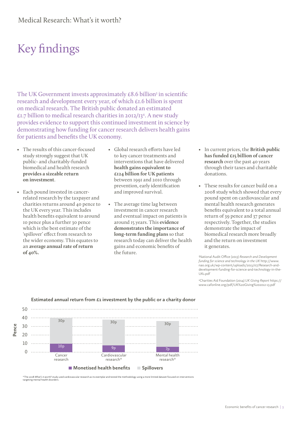## Key findings

The UK Government invests approximately  $\text{\pounds}8.6$  billion<sup>3</sup> in scientific research and development every year, of which £1.6 billion is spent on medical research. The British public donated an estimated £1.7 billion to medical research charities in 2012/13<sup>4</sup>. A new study provides evidence to support this continued investment in science by demonstrating how funding for cancer research delivers health gains for patients and benefits the UK economy.

- The results of this cancer-focused study strongly suggest that UK public- and charitably-funded biomedical and health research **provides a sizeable return on investment**.
- • Each pound invested in cancer related research by the taxpayer and charities returns around 40 pence to the UK every year. This includes health benefits equivalent to around 10 pence plus a further 30 pence which is the best estimate of the 'spillover' effect from research to the wider economy. This equates to an **average annual rate of return of 40%.**
- • Global research efforts have led to key cancer treatments and interventions that have delivered **health gains equivalent to £124 billion for UK patients** between 1991 and 2010 through prevention, early identification and improved survival.
- The average time lag between investment in cancer research and eventual impact on patients is around 15 years. This **evidence demonstrates the importance of long-term funding plans** so that research today can deliver the health gains and economic benefits of the future.
- • In current prices, the **British public has funded £15 billion of cancer research** over the past 40 years through their taxes and charitable donations.
- These results for cancer build on a 2008 study which showed that every pound spent on cardiovascular and mental health research generates benefits equivalent to a total annual return of 39 pence and 37 pence respectively. Together, the studies demonstrate the impact of biomedical research more broadly and the return on investment it generates.

3 National Audit Office (2013) *Research and Development funding for science and technology in the UK* [http://www.](http://www.nao.org.uk/wp-content/uploads/2013/07/Research-and-development-funding-for-science-and-technology-in-the-UK1.pdf) [nao.org.uk/wp-content/uploads/2013/07/Research-and](http://www.nao.org.uk/wp-content/uploads/2013/07/Research-and-development-funding-for-science-and-technology-in-the-UK1.pdf)[development-funding-for-science-and-technology-in-the-](http://www.nao.org.uk/wp-content/uploads/2013/07/Research-and-development-funding-for-science-and-technology-in-the-UK1.pdf)[UK1.pdf](http://www.nao.org.uk/wp-content/uploads/2013/07/Research-and-development-funding-for-science-and-technology-in-the-UK1.pdf) 

4 Charities Aid Foundation (2014) *UK Giving Report* [https://](https://www.cafonline.org/pdf/UK%20Giving%202012-13.pdf) [www.cafonline.org/pdf/UK%20Giving%202012-13.pdf](https://www.cafonline.org/pdf/UK%20Giving%202012-13.pdf)



**Estimated annual return from £1 investment by the public or a charity donor**

\*The 2008 *What's it worth?* study used cardiovascular research as its exemplar and tested the methodology using a more limited dataset focused on interventions targeting mental health d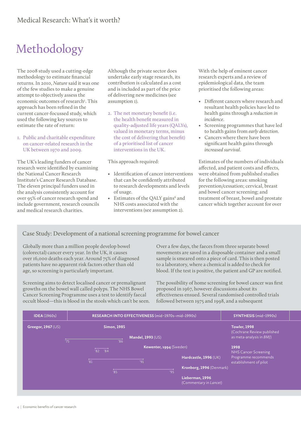## Methodology

The 2008 study used a cutting-edge methodology to estimate financial returns. In 2010, *Nature* said it was one of the few studies to make a genuine attempt to objectively assess the economic outcomes of research<sup>5</sup>. This approach has been refined in the current cancer-focussed study, which used the following key sources to estimate the rate of return:

#### 1. Public and charitable expenditure on cancer-related research in the UK between 1970 and 2009.

The UK's leading funders of cancer research were identified by examining the National Cancer Research Institute's Cancer Research Database. The eleven principal funders used in the analysis consistently account for over 95% of cancer research spend and include government, research councils and medical research charities.

Although the private sector does undertake early stage research, its contribution is calculated as a cost and is included as part of the price of delivering new medicines (see assumption 1).

2. The net monetary benefit (i.e. the health benefit measured in quality-adjusted life years (QALYs), valued in monetary terms, minus the cost of delivering that benefit) of a prioritised list of cancer interventions in the UK.

This approach required:

- • Identification of cancer interventions that can be confidently attributed to research developments and levels of usage.
- Estimates of the QALY gains<sup>6</sup> and NHS costs associated with the interventions (see assumption 2).

With the help of eminent cancer research experts and a review of epidemiological data, the team prioritised the following areas:

- • Different cancers where research and resultant health policies have led to health gains through a *reduction in incidence*.
- Screening programmes that have led to health gains from *early detection*.
- Cancers where there have been significant health gains through *increased survival*.

Estimates of the numbers of individuals affected, and patient costs and effects, were obtained from published studies for the following areas: smoking prevention/cessation; cervical, breast and bowel cancer screening; and treatment of breast, bowel and prostate cancer which together account for over

#### Case Study: Development of a national screening programme for bowel cancer

Globally more than a million people develop bowel (colorectal) cancer every year. In the UK, it causes over 16,000 deaths each year. Around 75% of diagnosed patients have no apparent risk factors other than old age, so screening is particularly important.

Screening aims to detect localised cancer or premalignant growths on the bowel wall called polyps. The NHS Bowel Cancer Screening Programme uses a test to identify faecal occult blood—this is blood in the stools which can't be seen. Over a few days, the faeces from three separate bowel movements are saved in a disposable container and a small sample is smeared onto a piece of card. This is then posted to a laboratory, where a chemical is added to check for blood. If the test is positive, the patient and GP are notified.

The possibility of home screening for bowel cancer was first proposed in 1967, however discussions about its effectiveness ensued. Several randomised controlled trials followed between 1975 and 1998, and a subsequent

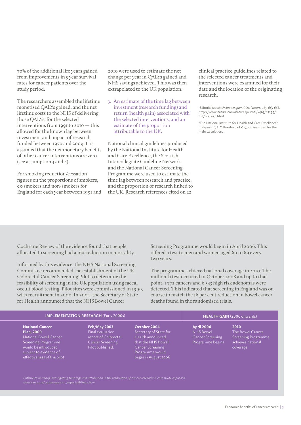70% of the additional life years gained from improvements in 5 year survival rates for cancer patients over the study period.

The researchers assembled the lifetime monetised QALYs gained, and the net lifetime costs to the NHS of delivering those QALYs, for the selected interventions from 1991 to 2010 — this allowed for the known lag between investment and impact of research funded between 1970 and 2009. It is assumed that the net monetary benefits of other cancer interventions are zero (see assumption 3 and 4).

For smoking reduction/cessation, figures on the proportions of smokers, ex-smokers and non-smokers for England for each year between 1991 and 2010 were used to estimate the net change per year in QALYs gained and NHS savings achieved. This was then extrapolated to the UK population.

3. An estimate of the time lag between investment (research funding) and return (health gain) associated with the selected interventions, and an estimate of the proportion attributable to the UK.

National clinical guidelines produced by the National Institute for Health and Care Excellence, the Scottish Intercollegiate Guideline Network and the National Cancer Screening Programme were used to estimate the time lag between research and practice, and the proportion of research linked to the UK. Research references cited on 22

clinical practice guidelines related to the selected cancer treatments and interventions were examined for their date and the location of the originating research.

5 Editorial (2010) *Unknown quantities. Nature, 465, 665-666.* [http://www.nature.com/nature/journal/v465/n7299/](http://www.nature.com/nature/journal/v465/n7299/full/465665b.html) [full/465665b.html](http://www.nature.com/nature/journal/v465/n7299/full/465665b.html) 

6 The National Institute for Health and Care Excellence's mid-point QALY threshold of £25,000 was used for the main calculation.

Cochrane Review of the evidence found that people allocated to screening had a 16% reduction in mortality.

Informed by this evidence, the NHS National Screening Committee recommended the establishment of the UK Colorectal Cancer Screening Pilot to determine the feasibility of screening in the UK population using faecal occult blood testing. Pilot sites were commissioned in 1999, with recruitment in 2000. In 2004, the Secretary of State for Health announced that the NHS Bowel Cancer

Screening Programme would begin in April 2006. This offered a test to men and women aged 60 to 69 every two years.

The programme achieved national coverage in 2010. The millionth test occurred in October 2008 and up to that point, 1,772 cancers and 6,543 high risk adenomas were detected. This indicated that screening in England was on course to match the 16 per cent reduction in bowel cancer deaths found in the randomised trials.

| <b>IMPLEMENTATION RESEARCH (Early 2000s)</b>                                                                                                                               |                                                                                                                             |                                                                                                                                                        | HEALTH GAIN (2006 onwards)                                                           |                                                                                  |
|----------------------------------------------------------------------------------------------------------------------------------------------------------------------------|-----------------------------------------------------------------------------------------------------------------------------|--------------------------------------------------------------------------------------------------------------------------------------------------------|--------------------------------------------------------------------------------------|----------------------------------------------------------------------------------|
| <b>National Cancer</b><br><b>Plan, 2000</b><br>National Bowel Cancer<br>Screening Programme<br>would be introduced<br>subject to evidence of<br>effectiveness of the pilot | <b>Feb/May 2003</b><br>$F$ inal evaluation $^\prime$<br>report of Colorectal<br><b>Cancer Screening</b><br>Pilot published. | October 2004<br>Secretary of State for<br>Health announced<br>that the NHS Bowel<br><b>Cancer Screening</b><br>Programme would<br>begin in August 2006 | <b>April 2006</b><br><b>NHS Bowel</b><br><b>Cancer Screening</b><br>Programme begins | 2010<br>The Bowel Cancer<br>Screening Programme<br>achieves national<br>coverage |

[www.rand.org/pubs/research\\_reports/RR627.html](www.rand.org/pubs/research_reports/RR627.html)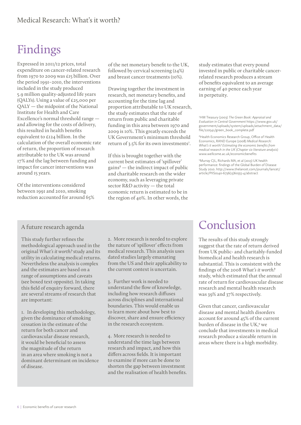## Findings

Expressed in 2011/12 prices, total expenditure on cancer-related research from 1970 to 2009 was £15 billion. Over the period 1991–2010, the interventions included in the study produced 5.9 million quality-adjusted life years (QALYs). Using a value of £25,000 per QALY — the midpoint of the National Institute for Health and Care Excellence's normal threshold range and allowing for the costs of delivery, this resulted in health benefits equivalent to £124 billion. In the calculation of the overall economic rate of return, the proportion of research attributable to the UK was around 17% and the lag between funding and impact for cancer interventions was around 15 years.

Of the interventions considered between 1991 and 2010, smoking reduction accounted for around 65% of the net monetary benefit to the UK, followed by cervical screening (24%) and breast cancer treatments (10%).

Drawing together the investment in research, net monetary benefits, and accounting for the time lag and proportion attributable to UK research, the study estimates that the rate of return from public and charitable funding in this area between 1970 and 2009 is 10%. This greatly exceeds the UK Government's minimum threshold return of 3.5% for its own investments<sup>7</sup>.

If this is brought together with the current best estimates of 'spillover'  $\text{gains}^8$  — the indirect impact of public and charitable research on the wider economy, such as leveraging private sector R&D activity — the total economic return is estimated to be in the region of 40%. In other words, the

study estimates that every pound invested in public or charitable cancerrelated research produces a stream of benefits equivalent to an average earning of 40 pence each year in perpetuity.

7 HM Treasury (2003) *The Green Book: Appraisal and Evaluation in Central Government* [https://www.gov.uk/](https://www.gov.uk/government/uploads/system/uploads/attachment_data/file/220541/green_book_complete.pdf) [government/uploads/system/uploads/attachment\\_data/](https://www.gov.uk/government/uploads/system/uploads/attachment_data/file/220541/green_book_complete.pdf) [file/220541/green\\_book\\_complete.pdf](https://www.gov.uk/government/uploads/system/uploads/attachment_data/file/220541/green_book_complete.pdf) 

8 Health Economics Research Group, Office of Health Economics, RAND Europe (2008) *Medical Research: What's it worth? Estimating the economic benefits from medical research in the UK (Chapter six literature analysis)* <www.wellcome.ac.uk/economicbenefits>

9 Murray CJL, Richards MA, et al (2013) UK health performance: findings of the Global Burden of Disease Study 2010. [http://www.thelancet.com/journals/lancet/](http://www.thelancet.com/journals/lancet/article/PIIS0140-6736%2813%2960355-4/abstract) [article/PIIS0140-6736\(13\)60355-4/abstract](http://www.thelancet.com/journals/lancet/article/PIIS0140-6736%2813%2960355-4/abstract)

#### A future research agenda

This study further refines the methodological approach used in the original *What's it worth?* study and its utility in calculating medical returns. Nevertheless the analysis is complex and the estimates are based on a range of assumptions and caveats (see boxed text opposite). In taking this field of enquiry forward, there are several streams of research that are important:

1. In developing this methodology, given the dominance of smoking cessation in the estimate of the return for both cancer and cardiovascular disease research, it would be beneficial to assess the magnitude of the return in an area where smoking is not a dominant determinant on incidence of disease.

2. More research is needed to explore the nature of 'spillover' effects from medical research. This analysis uses dated studies largely emanating from the US and their applicability to the current context is uncertain.

3. Further work is needed to understand the flow of knowledge, including how research diffuses across disciplines and international boundaries. This would enable us to learn more about how best to discover, share and ensure efficiency in the research ecosystem.

4. More research is needed to understand the time lags between research and impact, and how this differs across fields. It is important to examine if more can be done to shorten the gap between investment and the realisation of health benefits.

### Conclusion

The results of this study strongly suggest that the rate of return derived from UK public- and charitably-funded biomedical and health research is substantial. This is consistent with the findings of the 2008 *What's it worth?* study, which estimated that the annual rate of return for cardiovascular disease research and mental health research was 39% and 37% respectively.

Given that cancer, cardiovascular disease and mental health disorders account for around 45% of the current burden of disease in the UK,<sup>9</sup> we conclude that investments in medical research produce a sizeable return in areas where there is a high morbidity.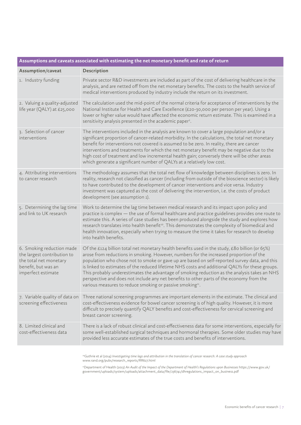| Assumptions and caveats associated with estimating the net monetary benefit and rate of return                                                                                                                                                                                                                                                                                                                                                                                                                                                                                                                                                                    |  |  |  |  |
|-------------------------------------------------------------------------------------------------------------------------------------------------------------------------------------------------------------------------------------------------------------------------------------------------------------------------------------------------------------------------------------------------------------------------------------------------------------------------------------------------------------------------------------------------------------------------------------------------------------------------------------------------------------------|--|--|--|--|
| Description                                                                                                                                                                                                                                                                                                                                                                                                                                                                                                                                                                                                                                                       |  |  |  |  |
| Private sector R&D investments are included as part of the cost of delivering healthcare in the<br>analysis, and are netted off from the net monetary benefits. The costs to the health service of<br>medical interventions produced by industry include the return on its investment.                                                                                                                                                                                                                                                                                                                                                                            |  |  |  |  |
| The calculation used the mid-point of the normal criteria for acceptance of interventions by the<br>National Institute for Health and Care Excellence (£20-30,000 per person per year). Using a<br>lower or higher value would have affected the economic return estimate. This is examined in a<br>sensitivity analysis presented in the academic paper <sup>2</sup> .                                                                                                                                                                                                                                                                                           |  |  |  |  |
| The interventions included in the analysis are known to cover a large population and/or a<br>significant proportion of cancer-related morbidity. In the calculations, the total net monetary<br>benefit for interventions not covered is assumed to be zero. In reality, there are cancer<br>interventions and treatments for which the net monetary benefit may be negative due to the<br>high cost of treatment and low incremental health gain; conversely there will be other areas<br>which generate a significant number of QALYs at a relatively low cost.                                                                                                 |  |  |  |  |
| The methodology assumes that the total net flow of knowledge between disciplines is zero. In<br>reality, research not classified as cancer (including from outside of the bioscience sector) is likely<br>to have contributed to the development of cancer interventions and vice versa. Industry<br>investment was captured as the cost of delivering the intervention, i.e. the costs of product<br>development (see assumption 1).                                                                                                                                                                                                                             |  |  |  |  |
| Work to determine the lag time between medical research and its impact upon policy and<br>practice is complex - the use of formal healthcare and practice guidelines provides one route to<br>estimate this. A series of case studies has been produced alongside the study and explores how<br>research translates into health benefit <sup>10</sup> . This demonstrates the complexity of biomedical and<br>health innovation, especially when trying to measure the time it takes for research to develop<br>into health benefits.                                                                                                                             |  |  |  |  |
| Of the £124 billion total net monetary health benefits used in the study, £80 billion (or 65%)<br>arose from reductions in smoking. However, numbers for the increased proportion of the<br>population who chose not to smoke or gave up are based on self-reported survey data, and this<br>is linked to estimates of the reduced lifetime NHS costs and additional QALYs for these groups.<br>This probably underestimates the advantage of smoking reduction as the analysis takes an NHS<br>perspective and does not include any net benefits to other parts of the economy from the<br>various measures to reduce smoking or passive smoking <sup>11</sup> . |  |  |  |  |
| Three national screening programmes are important elements in the estimate. The clinical and<br>cost-effectiveness evidence for bowel cancer screening is of high quality. However, it is more<br>difficult to precisely quantify QALY benefits and cost-effectiveness for cervical screening and<br>breast cancer screening.                                                                                                                                                                                                                                                                                                                                     |  |  |  |  |
| There is a lack of robust clinical and cost-effectiveness data for some interventions, especially for<br>some well-established surgical techniques and hormonal therapies. Some older studies may have<br>provided less accurate estimates of the true costs and benefits of interventions.                                                                                                                                                                                                                                                                                                                                                                       |  |  |  |  |
|                                                                                                                                                                                                                                                                                                                                                                                                                                                                                                                                                                                                                                                                   |  |  |  |  |

10Guthrie et al (2014) *Investigating time lags and attribution in the translation of cancer research: A case study approach* [www.rand.org/pubs/research\\_reports/RR627.html](www.rand.org/pubs/research_reports/RR627.html) 

11Department of Health (2013) *An Audit of the Impact of the Department of Health's Regulations upon Businesses* [https://www.gov.uk/](https://www.gov.uk/government/uploads/system/uploads/attachment_data/file/236741/dhregulations_impact_on_business.pdf) [government/uploads/system/uploads/attachment\\_data/file/236741/dhregulations\\_impact\\_on\\_business.pdf](https://www.gov.uk/government/uploads/system/uploads/attachment_data/file/236741/dhregulations_impact_on_business.pdf)